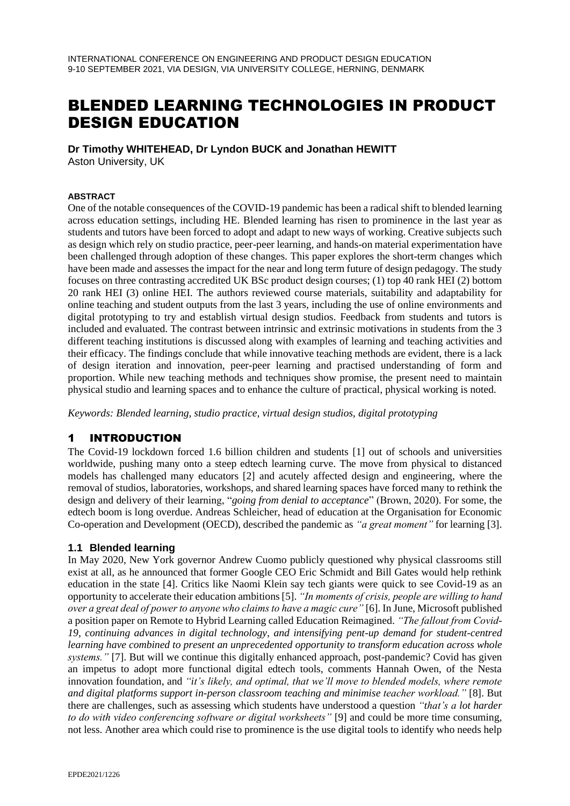# BLENDED LEARNING TECHNOLOGIES IN PRODUCT DESIGN EDUCATION

**Dr Timothy WHITEHEAD, Dr Lyndon BUCK and Jonathan HEWITT** Aston University, UK

#### **ABSTRACT**

One of the notable consequences of the COVID-19 pandemic has been a radical shift to blended learning across education settings, including HE. Blended learning has risen to prominence in the last year as students and tutors have been forced to adopt and adapt to new ways of working. Creative subjects such as design which rely on studio practice, peer-peer learning, and hands-on material experimentation have been challenged through adoption of these changes. This paper explores the short-term changes which have been made and assesses the impact for the near and long term future of design pedagogy. The study focuses on three contrasting accredited UK BSc product design courses; (1) top 40 rank HEI (2) bottom 20 rank HEI (3) online HEI. The authors reviewed course materials, suitability and adaptability for online teaching and student outputs from the last 3 years, including the use of online environments and digital prototyping to try and establish virtual design studios. Feedback from students and tutors is included and evaluated. The contrast between intrinsic and extrinsic motivations in students from the 3 different teaching institutions is discussed along with examples of learning and teaching activities and their efficacy. The findings conclude that while innovative teaching methods are evident, there is a lack of design iteration and innovation, peer-peer learning and practised understanding of form and proportion. While new teaching methods and techniques show promise, the present need to maintain physical studio and learning spaces and to enhance the culture of practical, physical working is noted.

*Keywords: Blended learning, studio practice, virtual design studios, digital prototyping*

#### 1 INTRODUCTION

The Covid-19 lockdown forced 1.6 billion children and students [1] out of schools and universities worldwide, pushing many onto a steep edtech learning curve. The move from physical to distanced models has challenged many educators [2] and acutely affected design and engineering, where the removal of studios, laboratories, workshops, and shared learning spaces have forced many to rethink the design and delivery of their learning, "*going from denial to acceptance*" (Brown, 2020). For some, the edtech boom is long overdue. Andreas Schleicher, head of education at the Organisation for Economic Co-operation and Development (OECD), described the pandemic as *"a great moment"* for learning [3].

#### **1.1 Blended learning**

In May 2020, New York governor Andrew Cuomo publicly questioned why physical classrooms still exist at all, as he announced that former Google CEO Eric Schmidt and Bill Gates would help rethink education in the state [4]. Critics like Naomi Klein say tech giants were quick to see Covid-19 as an opportunity to accelerate their education ambitions [5]. *"In moments of crisis, people are willing to hand over a great deal of power to anyone who claims to have a magic cure"* [6]. In June, Microsoft published a position paper on Remote to Hybrid Learning called Education Reimagined. *"The fallout from Covid-19, continuing advances in digital technology, and intensifying pent-up demand for student-centred learning have combined to present an unprecedented opportunity to transform education across whole systems."* [7]. But will we continue this digitally enhanced approach, post-pandemic? Covid has given an impetus to adopt more functional digital edtech tools, comments Hannah Owen, of the Nesta innovation foundation, and *"it's likely, and optimal, that we'll move to blended models, where remote and digital platforms support in-person classroom teaching and minimise teacher workload."* [8]. But there are challenges, such as assessing which students have understood a question *"that's a lot harder to do with video conferencing software or digital worksheets"* [9] and could be more time consuming, not less. Another area which could rise to prominence is the use digital tools to identify who needs help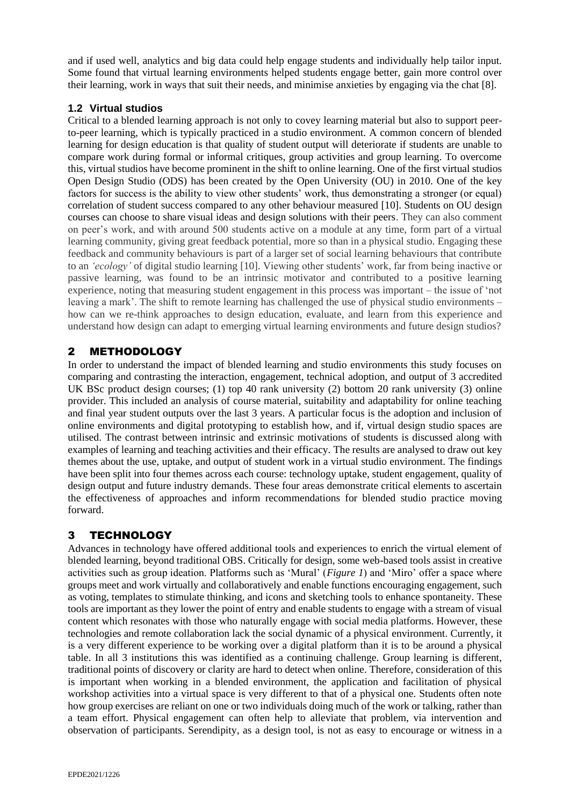and if used well, analytics and big data could help engage students and individually help tailor input. Some found that virtual learning environments helped students engage better, gain more control over their learning, work in ways that suit their needs, and minimise anxieties by engaging via the chat [8].

### **1.2 Virtual studios**

Critical to a blended learning approach is not only to covey learning material but also to support peerto-peer learning, which is typically practiced in a studio environment. A common concern of blended learning for design education is that quality of student output will deteriorate if students are unable to compare work during formal or informal critiques, group activities and group learning. To overcome this, virtual studios have become prominent in the shift to online learning. One of the first virtual studios Open Design Studio (ODS) has been created by the Open University (OU) in 2010. One of the key factors for success is the ability to view other students' work, thus demonstrating a stronger (or equal) correlation of student success compared to any other behaviour measured [10]. Students on OU design courses can choose to share visual ideas and design solutions with their peers. They can also comment on peer's work, and with around 500 students active on a module at any time, form part of a virtual learning community, giving great feedback potential, more so than in a physical studio. Engaging these feedback and community behaviours is part of a larger set of social learning behaviours that contribute to an *'ecology'* of digital studio learning [10]. Viewing other students' work, far from being inactive or passive learning, was found to be an intrinsic motivator and contributed to a positive learning experience, noting that measuring student engagement in this process was important – the issue of 'not leaving a mark'. The shift to remote learning has challenged the use of physical studio environments – how can we re-think approaches to design education, evaluate, and learn from this experience and understand how design can adapt to emerging virtual learning environments and future design studios?

### 2 METHODOLOGY

In order to understand the impact of blended learning and studio environments this study focuses on comparing and contrasting the interaction, engagement, technical adoption, and output of 3 accredited UK BSc product design courses; (1) top 40 rank university (2) bottom 20 rank university (3) online provider. This included an analysis of course material, suitability and adaptability for online teaching and final year student outputs over the last 3 years. A particular focus is the adoption and inclusion of online environments and digital prototyping to establish how, and if, virtual design studio spaces are utilised. The contrast between intrinsic and extrinsic motivations of students is discussed along with examples of learning and teaching activities and their efficacy. The results are analysed to draw out key themes about the use, uptake, and output of student work in a virtual studio environment. The findings have been split into four themes across each course: technology uptake, student engagement, quality of design output and future industry demands. These four areas demonstrate critical elements to ascertain the effectiveness of approaches and inform recommendations for blended studio practice moving forward.

# 3 TECHNOLOGY

Advances in technology have offered additional tools and experiences to enrich the virtual element of blended learning, beyond traditional OBS. Critically for design, some web-based tools assist in creative activities such as group ideation. Platforms such as 'Mural' (*Figure 1*) and 'Miro' offer a space where groups meet and work virtually and collaboratively and enable functions encouraging engagement, such as voting, templates to stimulate thinking, and icons and sketching tools to enhance spontaneity. These tools are important as they lower the point of entry and enable students to engage with a stream of visual content which resonates with those who naturally engage with social media platforms. However, these technologies and remote collaboration lack the social dynamic of a physical environment. Currently, it is a very different experience to be working over a digital platform than it is to be around a physical table. In all 3 institutions this was identified as a continuing challenge. Group learning is different, traditional points of discovery or clarity are hard to detect when online. Therefore, consideration of this is important when working in a blended environment, the application and facilitation of physical workshop activities into a virtual space is very different to that of a physical one. Students often note how group exercises are reliant on one or two individuals doing much of the work or talking, rather than a team effort. Physical engagement can often help to alleviate that problem, via intervention and observation of participants. Serendipity, as a design tool, is not as easy to encourage or witness in a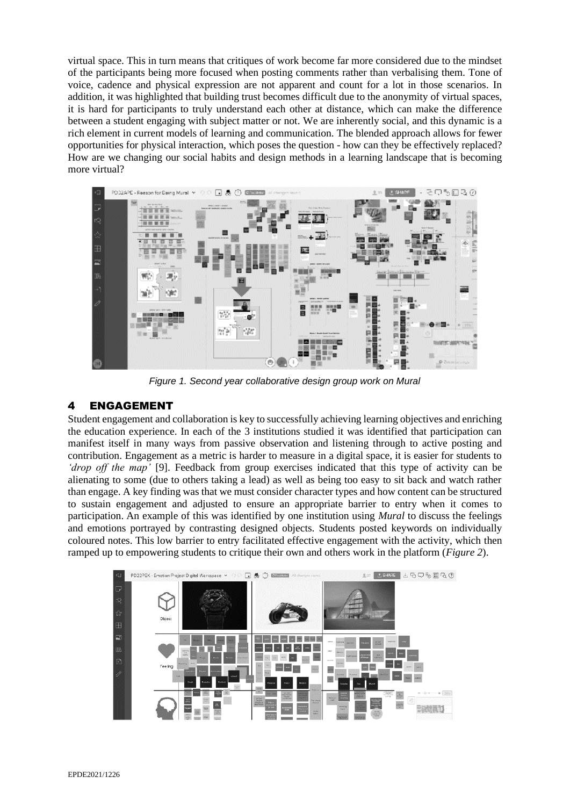virtual space. This in turn means that critiques of work become far more considered due to the mindset of the participants being more focused when posting comments rather than verbalising them. Tone of voice, cadence and physical expression are not apparent and count for a lot in those scenarios. In addition, it was highlighted that building trust becomes difficult due to the anonymity of virtual spaces, it is hard for participants to truly understand each other at distance, which can make the difference between a student engaging with subject matter or not. We are inherently social, and this dynamic is a rich element in current models of learning and communication. The blended approach allows for fewer opportunities for physical interaction, which poses the question - how can they be effectively replaced? How are we changing our social habits and design methods in a learning landscape that is becoming more virtual?



*Figure 1. Second year collaborative design group work on Mural*

## 4 ENGAGEMENT

Student engagement and collaboration is key to successfully achieving learning objectives and enriching the education experience. In each of the 3 institutions studied it was identified that participation can manifest itself in many ways from passive observation and listening through to active posting and contribution. Engagement as a metric is harder to measure in a digital space, it is easier for students to *'drop off the map'* [9]. Feedback from group exercises indicated that this type of activity can be alienating to some (due to others taking a lead) as well as being too easy to sit back and watch rather than engage. A key finding was that we must consider character types and how content can be structured to sustain engagement and adjusted to ensure an appropriate barrier to entry when it comes to participation. An example of this was identified by one institution using *Mural* to discuss the feelings and emotions portrayed by contrasting designed objects. Students posted keywords on individually coloured notes. This low barrier to entry facilitated effective engagement with the activity, which then ramped up to empowering students to critique their own and others work in the platform (*Figure 2*).

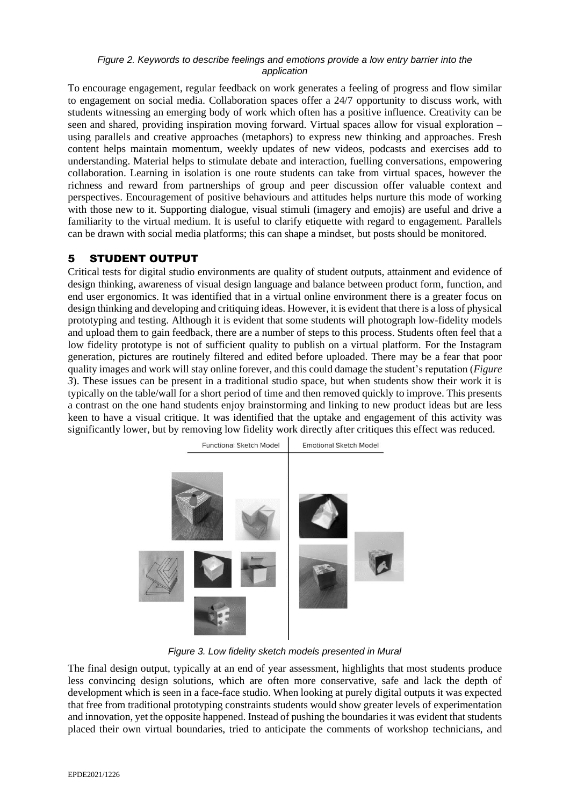#### *Figure 2. Keywords to describe feelings and emotions provide a low entry barrier into the application*

To encourage engagement, regular feedback on work generates a feeling of progress and flow similar to engagement on social media. Collaboration spaces offer a 24/7 opportunity to discuss work, with students witnessing an emerging body of work which often has a positive influence. Creativity can be seen and shared, providing inspiration moving forward. Virtual spaces allow for visual exploration – using parallels and creative approaches (metaphors) to express new thinking and approaches. Fresh content helps maintain momentum, weekly updates of new videos, podcasts and exercises add to understanding. Material helps to stimulate debate and interaction, fuelling conversations, empowering collaboration. Learning in isolation is one route students can take from virtual spaces, however the richness and reward from partnerships of group and peer discussion offer valuable context and perspectives. Encouragement of positive behaviours and attitudes helps nurture this mode of working with those new to it. Supporting dialogue, visual stimuli (imagery and emojis) are useful and drive a familiarity to the virtual medium. It is useful to clarify etiquette with regard to engagement. Parallels can be drawn with social media platforms; this can shape a mindset, but posts should be monitored.

### 5 STUDENT OUTPUT

Critical tests for digital studio environments are quality of student outputs, attainment and evidence of design thinking, awareness of visual design language and balance between product form, function, and end user ergonomics. It was identified that in a virtual online environment there is a greater focus on design thinking and developing and critiquing ideas. However, it is evident that there is a loss of physical prototyping and testing. Although it is evident that some students will photograph low-fidelity models and upload them to gain feedback, there are a number of steps to this process. Students often feel that a low fidelity prototype is not of sufficient quality to publish on a virtual platform. For the Instagram generation, pictures are routinely filtered and edited before uploaded. There may be a fear that poor quality images and work will stay online forever, and this could damage the student's reputation (*Figure 3*). These issues can be present in a traditional studio space, but when students show their work it is typically on the table/wall for a short period of time and then removed quickly to improve. This presents a contrast on the one hand students enjoy brainstorming and linking to new product ideas but are less keen to have a visual critique. It was identified that the uptake and engagement of this activity was significantly lower, but by removing low fidelity work directly after critiques this effect was reduced.



*Figure 3. Low fidelity sketch models presented in Mural*

The final design output, typically at an end of year assessment, highlights that most students produce less convincing design solutions, which are often more conservative, safe and lack the depth of development which is seen in a face-face studio. When looking at purely digital outputs it was expected that free from traditional prototyping constraints students would show greater levels of experimentation and innovation, yet the opposite happened. Instead of pushing the boundaries it was evident that students placed their own virtual boundaries, tried to anticipate the comments of workshop technicians, and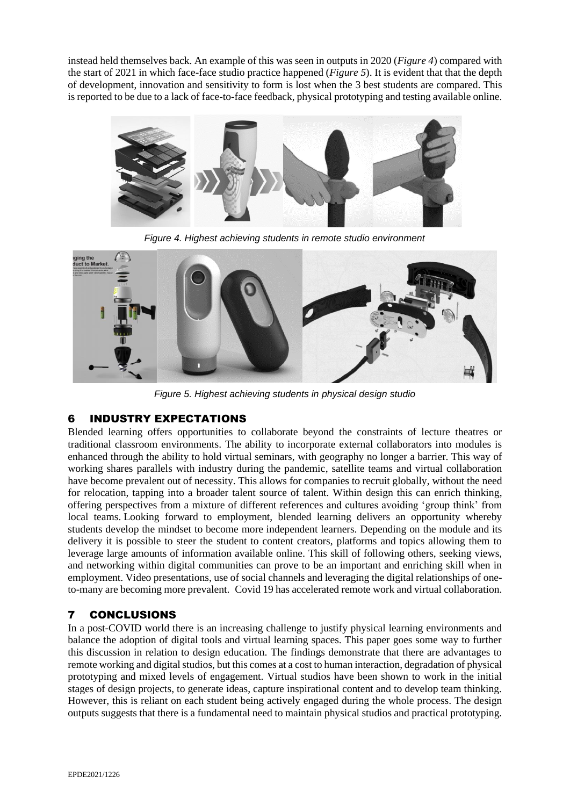instead held themselves back. An example of this was seen in outputs in 2020 (*Figure 4*) compared with the start of 2021 in which face-face studio practice happened (*Figure 5*). It is evident that that the depth of development, innovation and sensitivity to form is lost when the 3 best students are compared. This is reported to be due to a lack of face-to-face feedback, physical prototyping and testing available online.



*Figure 4. Highest achieving students in remote studio environment*



*Figure 5. Highest achieving students in physical design studio*

# 6 INDUSTRY EXPECTATIONS

Blended learning offers opportunities to collaborate beyond the constraints of lecture theatres or traditional classroom environments. The ability to incorporate external collaborators into modules is enhanced through the ability to hold virtual seminars, with geography no longer a barrier. This way of working shares parallels with industry during the pandemic, satellite teams and virtual collaboration have become prevalent out of necessity. This allows for companies to recruit globally, without the need for relocation, tapping into a broader talent source of talent. Within design this can enrich thinking, offering perspectives from a mixture of different references and cultures avoiding 'group think' from local teams. Looking forward to employment, blended learning delivers an opportunity whereby students develop the mindset to become more independent learners. Depending on the module and its delivery it is possible to steer the student to content creators, platforms and topics allowing them to leverage large amounts of information available online. This skill of following others, seeking views, and networking within digital communities can prove to be an important and enriching skill when in employment. Video presentations, use of social channels and leveraging the digital relationships of oneto-many are becoming more prevalent. Covid 19 has accelerated remote work and virtual collaboration.

# 7 CONCLUSIONS

In a post-COVID world there is an increasing challenge to justify physical learning environments and balance the adoption of digital tools and virtual learning spaces. This paper goes some way to further this discussion in relation to design education. The findings demonstrate that there are advantages to remote working and digital studios, but this comes at a cost to human interaction, degradation of physical prototyping and mixed levels of engagement. Virtual studios have been shown to work in the initial stages of design projects, to generate ideas, capture inspirational content and to develop team thinking. However, this is reliant on each student being actively engaged during the whole process. The design outputs suggests that there is a fundamental need to maintain physical studios and practical prototyping.